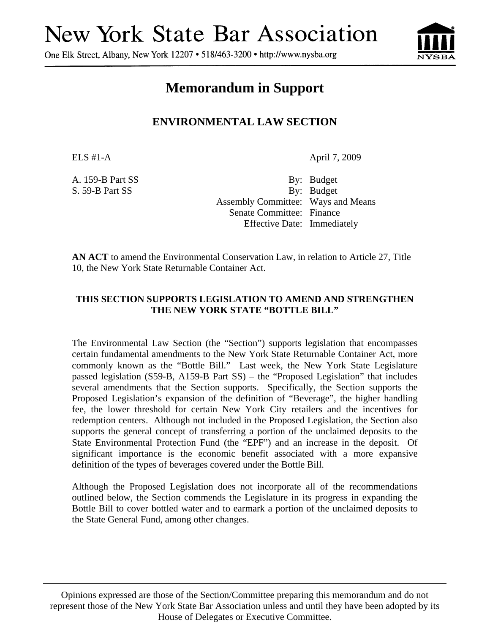# **New York State Bar Association**

One Elk Street, Albany, New York 12207 • 518/463-3200 • http://www.nysba.org



## **Memorandum in Support**

### **ENVIRONMENTAL LAW SECTION**

ELS #1-A April 7, 2009

A. 159-B Part SS By: Budget S. 59-B Part SS By: Budget Assembly Committee: Ways and Means Senate Committee: Finance Effective Date: Immediately

**AN ACT** to amend the Environmental Conservation Law, in relation to Article 27, Title 10, the New York State Returnable Container Act.

#### **THIS SECTION SUPPORTS LEGISLATION TO AMEND AND STRENGTHEN THE NEW YORK STATE "BOTTLE BILL"**

The Environmental Law Section (the "Section") supports legislation that encompasses certain fundamental amendments to the New York State Returnable Container Act, more commonly known as the "Bottle Bill." Last week, the New York State Legislature passed legislation (S59-B, A159-B Part SS) – the "Proposed Legislation" that includes several amendments that the Section supports. Specifically, the Section supports the Proposed Legislation's expansion of the definition of "Beverage", the higher handling fee, the lower threshold for certain New York City retailers and the incentives for redemption centers. Although not included in the Proposed Legislation, the Section also supports the general concept of transferring a portion of the unclaimed deposits to the State Environmental Protection Fund (the "EPF") and an increase in the deposit. Of significant importance is the economic benefit associated with a more expansive definition of the types of beverages covered under the Bottle Bill.

Although the Proposed Legislation does not incorporate all of the recommendations outlined below, the Section commends the Legislature in its progress in expanding the Bottle Bill to cover bottled water and to earmark a portion of the unclaimed deposits to the State General Fund, among other changes.

Opinions expressed are those of the Section/Committee preparing this memorandum and do not represent those of the New York State Bar Association unless and until they have been adopted by its House of Delegates or Executive Committee.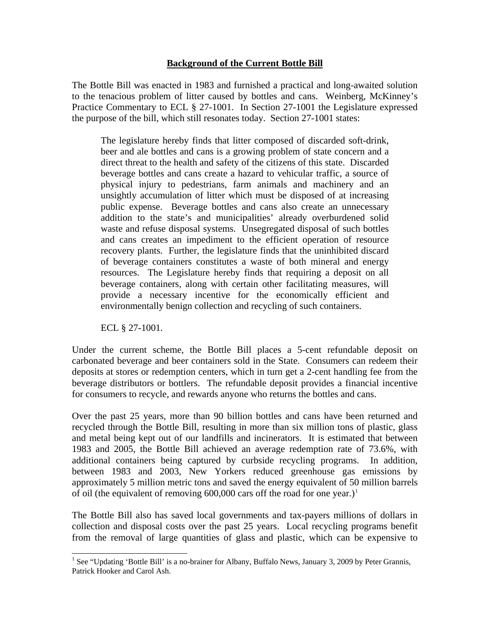#### **Background of the Current Bottle Bill**

The Bottle Bill was enacted in 1983 and furnished a practical and long-awaited solution to the tenacious problem of litter caused by bottles and cans. Weinberg, McKinney's Practice Commentary to ECL § 27-1001. In Section 27-1001 the Legislature expressed the purpose of the bill, which still resonates today. Section 27-1001 states:

The legislature hereby finds that litter composed of discarded soft-drink, beer and ale bottles and cans is a growing problem of state concern and a direct threat to the health and safety of the citizens of this state. Discarded beverage bottles and cans create a hazard to vehicular traffic, a source of physical injury to pedestrians, farm animals and machinery and an unsightly accumulation of litter which must be disposed of at increasing public expense. Beverage bottles and cans also create an unnecessary addition to the state's and municipalities' already overburdened solid waste and refuse disposal systems. Unsegregated disposal of such bottles and cans creates an impediment to the efficient operation of resource recovery plants. Further, the legislature finds that the uninhibited discard of beverage containers constitutes a waste of both mineral and energy resources. The Legislature hereby finds that requiring a deposit on all beverage containers, along with certain other facilitating measures, will provide a necessary incentive for the economically efficient and environmentally benign collection and recycling of such containers.

ECL § 27-1001.

Under the current scheme, the Bottle Bill places a 5-cent refundable deposit on carbonated beverage and beer containers sold in the State. Consumers can redeem their deposits at stores or redemption centers, which in turn get a 2-cent handling fee from the beverage distributors or bottlers. The refundable deposit provides a financial incentive for consumers to recycle, and rewards anyone who returns the bottles and cans.

Over the past 25 years, more than 90 billion bottles and cans have been returned and recycled through the Bottle Bill, resulting in more than six million tons of plastic, glass and metal being kept out of our landfills and incinerators. It is estimated that between 1983 and 2005, the Bottle Bill achieved an average redemption rate of 73.6%, with additional containers being captured by curbside recycling programs. In addition, between 1983 and 2003, New Yorkers reduced greenhouse gas emissions by approximately 5 million metric tons and saved the energy equivalent of 50 million barrels of oil (the equivalent of removing  $600,000$  cars off the road for one year.)<sup>[1](#page-1-0)</sup>

The Bottle Bill also has saved local governments and tax-payers millions of dollars in collection and disposal costs over the past 25 years. Local recycling programs benefit from the removal of large quantities of glass and plastic, which can be expensive to

<span id="page-1-0"></span><sup>&</sup>lt;sup>1</sup> See "Updating 'Bottle Bill' is a no-brainer for Albany, Buffalo News, January 3, 2009 by Peter Grannis, Patrick Hooker and Carol Ash.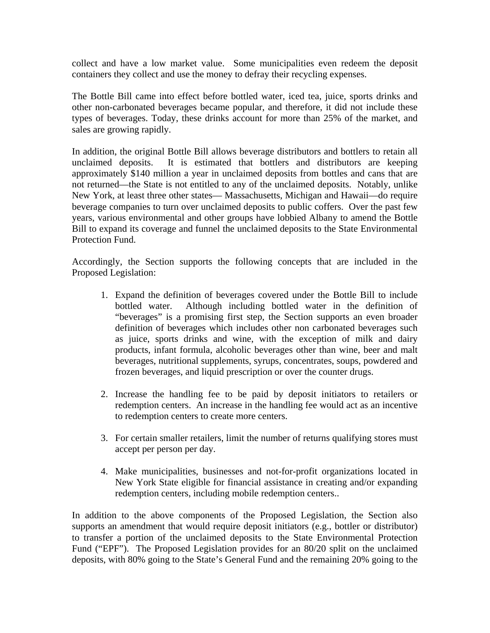collect and have a low market value. Some municipalities even redeem the deposit containers they collect and use the money to defray their recycling expenses.

The Bottle Bill came into effect before bottled water, iced tea, juice, sports drinks and other non-carbonated beverages became popular, and therefore, it did not include these types of beverages. Today, these drinks account for more than 25% of the market, and sales are growing rapidly.

In addition, the original Bottle Bill allows beverage distributors and bottlers to retain all unclaimed deposits. It is estimated that bottlers and distributors are keeping approximately \$140 million a year in unclaimed deposits from bottles and cans that are not returned—the State is not entitled to any of the unclaimed deposits. Notably, unlike New York, at least three other states— Massachusetts, Michigan and Hawaii—do require beverage companies to turn over unclaimed deposits to public coffers. Over the past few years, various environmental and other groups have lobbied Albany to amend the Bottle Bill to expand its coverage and funnel the unclaimed deposits to the State Environmental Protection Fund.

Accordingly, the Section supports the following concepts that are included in the Proposed Legislation:

- 1. Expand the definition of beverages covered under the Bottle Bill to include bottled water. Although including bottled water in the definition of "beverages" is a promising first step, the Section supports an even broader definition of beverages which includes other non carbonated beverages such as juice, sports drinks and wine, with the exception of milk and dairy products, infant formula, alcoholic beverages other than wine, beer and malt beverages, nutritional supplements, syrups, concentrates, soups, powdered and frozen beverages, and liquid prescription or over the counter drugs.
- 2. Increase the handling fee to be paid by deposit initiators to retailers or redemption centers. An increase in the handling fee would act as an incentive to redemption centers to create more centers.
- 3. For certain smaller retailers, limit the number of returns qualifying stores must accept per person per day.
- 4. Make municipalities, businesses and not-for-profit organizations located in New York State eligible for financial assistance in creating and/or expanding redemption centers, including mobile redemption centers..

In addition to the above components of the Proposed Legislation, the Section also supports an amendment that would require deposit initiators (e.g., bottler or distributor) to transfer a portion of the unclaimed deposits to the State Environmental Protection Fund ("EPF"). The Proposed Legislation provides for an 80/20 split on the unclaimed deposits, with 80% going to the State's General Fund and the remaining 20% going to the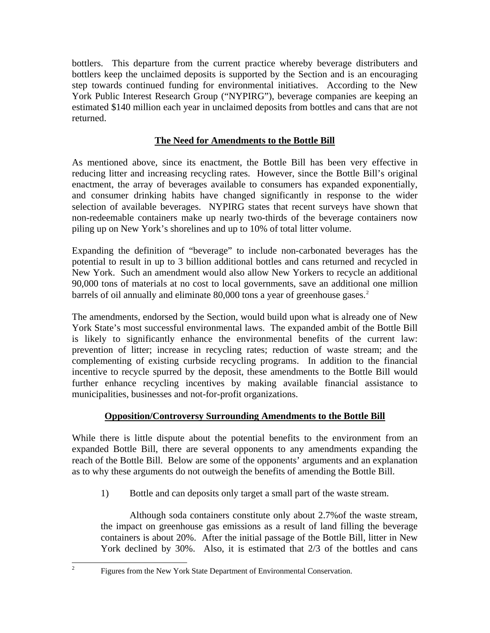bottlers. This departure from the current practice whereby beverage distributers and bottlers keep the unclaimed deposits is supported by the Section and is an encouraging step towards continued funding for environmental initiatives. According to the New York Public Interest Research Group ("NYPIRG"), beverage companies are keeping an estimated \$140 million each year in unclaimed deposits from bottles and cans that are not returned.

#### **The Need for Amendments to the Bottle Bill**

As mentioned above, since its enactment, the Bottle Bill has been very effective in reducing litter and increasing recycling rates. However, since the Bottle Bill's original enactment, the array of beverages available to consumers has expanded exponentially, and consumer drinking habits have changed significantly in response to the wider selection of available beverages. NYPIRG states that recent surveys have shown that non-redeemable containers make up nearly two-thirds of the beverage containers now piling up on New York's shorelines and up to 10% of total litter volume.

Expanding the definition of "beverage" to include non-carbonated beverages has the potential to result in up to 3 billion additional bottles and cans returned and recycled in New York. Such an amendment would also allow New Yorkers to recycle an additional 90,000 tons of materials at no cost to local governments, save an additional one million barrels of oil annually and eliminate 80,000 tons a year of greenhouse gases.<sup>[2](#page-3-0)</sup>

The amendments, endorsed by the Section, would build upon what is already one of New York State's most successful environmental laws. The expanded ambit of the Bottle Bill is likely to significantly enhance the environmental benefits of the current law: prevention of litter; increase in recycling rates; reduction of waste stream; and the complementing of existing curbside recycling programs. In addition to the financial incentive to recycle spurred by the deposit, these amendments to the Bottle Bill would further enhance recycling incentives by making available financial assistance to municipalities, businesses and not-for-profit organizations.

#### **Opposition/Controversy Surrounding Amendments to the Bottle Bill**

While there is little dispute about the potential benefits to the environment from an expanded Bottle Bill, there are several opponents to any amendments expanding the reach of the Bottle Bill. Below are some of the opponents' arguments and an explanation as to why these arguments do not outweigh the benefits of amending the Bottle Bill.

1) Bottle and can deposits only target a small part of the waste stream.

Although soda containers constitute only about 2.7%of the waste stream, the impact on greenhouse gas emissions as a result of land filling the beverage containers is about 20%. After the initial passage of the Bottle Bill, litter in New York declined by 30%. Also, it is estimated that 2/3 of the bottles and cans

<span id="page-3-0"></span> $\frac{1}{2}$ 

Figures from the New York State Department of Environmental Conservation.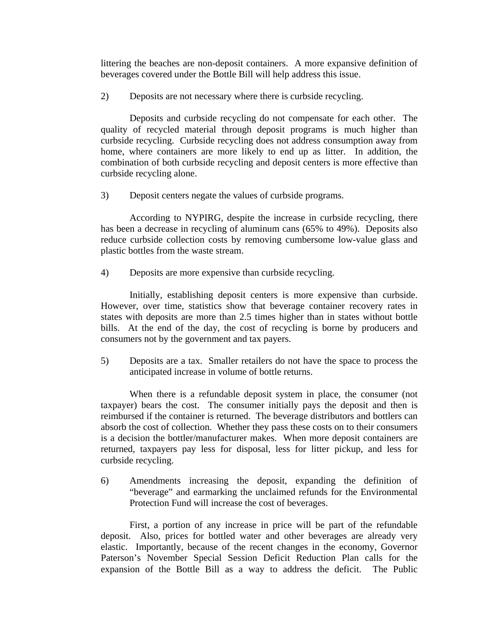littering the beaches are non-deposit containers. A more expansive definition of beverages covered under the Bottle Bill will help address this issue.

2) Deposits are not necessary where there is curbside recycling.

Deposits and curbside recycling do not compensate for each other. The quality of recycled material through deposit programs is much higher than curbside recycling. Curbside recycling does not address consumption away from home, where containers are more likely to end up as litter. In addition, the combination of both curbside recycling and deposit centers is more effective than curbside recycling alone.

3) Deposit centers negate the values of curbside programs.

According to NYPIRG, despite the increase in curbside recycling, there has been a decrease in recycling of aluminum cans (65% to 49%). Deposits also reduce curbside collection costs by removing cumbersome low-value glass and plastic bottles from the waste stream.

4) Deposits are more expensive than curbside recycling.

Initially, establishing deposit centers is more expensive than curbside. However, over time, statistics show that beverage container recovery rates in states with deposits are more than 2.5 times higher than in states without bottle bills. At the end of the day, the cost of recycling is borne by producers and consumers not by the government and tax payers.

5) Deposits are a tax. Smaller retailers do not have the space to process the anticipated increase in volume of bottle returns.

When there is a refundable deposit system in place, the consumer (not taxpayer) bears the cost. The consumer initially pays the deposit and then is reimbursed if the container is returned. The beverage distributors and bottlers can absorb the cost of collection. Whether they pass these costs on to their consumers is a decision the bottler/manufacturer makes. When more deposit containers are returned, taxpayers pay less for disposal, less for litter pickup, and less for curbside recycling.

6) Amendments increasing the deposit, expanding the definition of "beverage" and earmarking the unclaimed refunds for the Environmental Protection Fund will increase the cost of beverages.

First, a portion of any increase in price will be part of the refundable deposit. Also, prices for bottled water and other beverages are already very elastic. Importantly, because of the recent changes in the economy, Governor Paterson's November Special Session Deficit Reduction Plan calls for the expansion of the Bottle Bill as a way to address the deficit. The Public